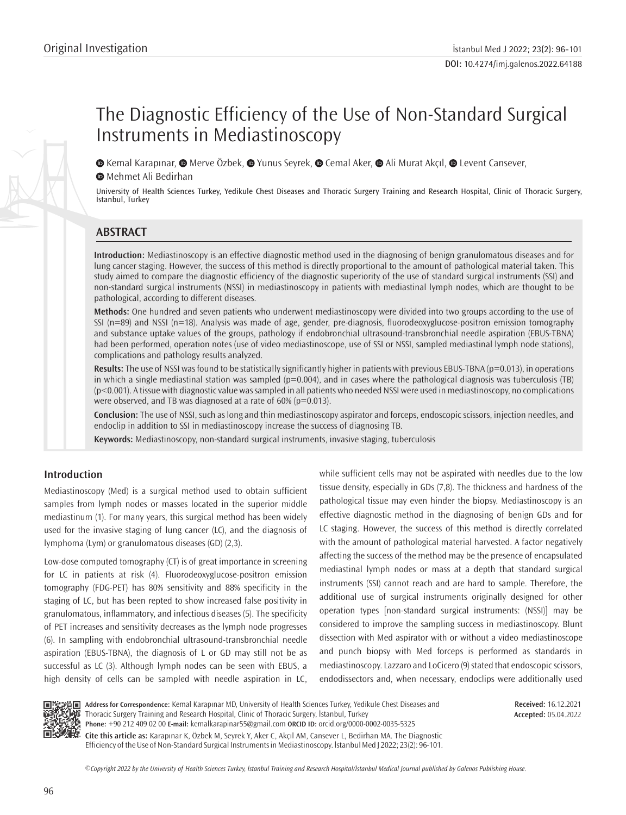# The Diagnostic Efficiency of the Use of Non-Standard Surgical Instruments in Mediastinoscopy

 $\bullet$  Kemal Karapınar,  $\bullet$  Merve Özbek,  $\bullet$  Yunus Seyrek,  $\bullet$  Cemal Aker,  $\bullet$  Ali Murat Akçıl,  $\bullet$  Levent Cansever, **Mehmet Ali Bedirhan** 

University of Health Sciences Turkey, Yedikule Chest Diseases and Thoracic Surgery Training and Research Hospital, Clinic of Thoracic Surgery, İstanbul, Turkey

# **ABSTRACT**

**Introduction:** Mediastinoscopy is an effective diagnostic method used in the diagnosing of benign granulomatous diseases and for lung cancer staging. However, the success of this method is directly proportional to the amount of pathological material taken. This study aimed to compare the diagnostic efficiency of the diagnostic superiority of the use of standard surgical instruments (SSI) and non-standard surgical instruments (NSSI) in mediastinoscopy in patients with mediastinal lymph nodes, which are thought to be pathological, according to different diseases.

**Methods:** One hundred and seven patients who underwent mediastinoscopy were divided into two groups according to the use of SSI (n=89) and NSSI (n=18). Analysis was made of age, gender, pre-diagnosis, fluorodeoxyglucose-positron emission tomography and substance uptake values of the groups, pathology if endobronchial ultrasound-transbronchial needle aspiration (EBUS-TBNA) had been performed, operation notes (use of video mediastinoscope, use of SSI or NSSI, sampled mediastinal lymph node stations), complications and pathology results analyzed.

**Results:** The use of NSSI was found to be statistically significantly higher in patients with previous EBUS-TBNA (p=0.013), in operations in which a single mediastinal station was sampled ( $p=0.004$ ), and in cases where the pathological diagnosis was tuberculosis (TB) (p<0.001). A tissue with diagnostic value was sampled in all patients who needed NSSI were used in mediastinoscopy, no complications were observed, and TB was diagnosed at a rate of  $60\%$  ( $p=0.013$ ).

**Conclusion:** The use of NSSI, such as long and thin mediastinoscopy aspirator and forceps, endoscopic scissors, injection needles, and endoclip in addition to SSI in mediastinoscopy increase the success of diagnosing TB.

**Keywords:** Mediastinoscopy, non-standard surgical instruments, invasive staging, tuberculosis

# **Introduction**

Mediastinoscopy (Med) is a surgical method used to obtain sufficient samples from lymph nodes or masses located in the superior middle mediastinum (1). For many years, this surgical method has been widely used for the invasive staging of lung cancer (LC), and the diagnosis of lymphoma (Lym) or granulomatous diseases (GD) (2,3).

Low-dose computed tomography (CT) is of great importance in screening for LC in patients at risk (4). Fluorodeoxyglucose-positron emission tomography (FDG-PET) has 80% sensitivity and 88% specificity in the staging of LC, but has been repted to show increased false positivity in granulomatous, inflammatory, and infectious diseases (5). The specificity of PET increases and sensitivity decreases as the lymph node progresses (6). In sampling with endobronchial ultrasound-transbronchial needle aspiration (EBUS-TBNA), the diagnosis of L or GD may still not be as successful as LC (3). Although lymph nodes can be seen with EBUS, a high density of cells can be sampled with needle aspiration in LC, while sufficient cells may not be aspirated with needles due to the low tissue density, especially in GDs (7,8). The thickness and hardness of the pathological tissue may even hinder the biopsy. Mediastinoscopy is an effective diagnostic method in the diagnosing of benign GDs and for LC staging. However, the success of this method is directly correlated with the amount of pathological material harvested. A factor negatively affecting the success of the method may be the presence of encapsulated mediastinal lymph nodes or mass at a depth that standard surgical instruments (SSI) cannot reach and are hard to sample. Therefore, the additional use of surgical instruments originally designed for other operation types [non-standard surgical instruments: (NSSI)] may be considered to improve the sampling success in mediastinoscopy. Blunt dissection with Med aspirator with or without a video mediastinoscope and punch biopsy with Med forceps is performed as standards in mediastinoscopy. Lazzaro and LoCicero (9) stated that endoscopic scissors, endodissectors and, when necessary, endoclips were additionally used



**Address for Correspondence:** Kemal Karapınar MD, University of Health Sciences Turkey, Yedikule Chest Diseases and Thoracic Surgery Training and Research Hospital, Clinic of Thoracic Surgery, İstanbul, Turkey **Phone:** +90 212 409 02 00 **E-mail:** kemalkarapinar55@gmail.com **ORCID ID:** orcid.org/0000-0002-0035-5325

**Received:** 16.12.2021 **Accepted:** 05.04.2022

**Cite this article as:** Karapınar K, Özbek M, Seyrek Y, Aker C, Akçıl AM, Cansever L, Bedirhan MA. The Diagnostic Efficiency of the Use of Non-Standard Surgical Instruments in Mediastinoscopy. İstanbul Med J 2022; 23(2): 96-101.

*©*Copyright 2022 by the University of Health Sciences Turkey, İstanbul Training and Research Hospital/İstanbul Medical Journal published by Galenos Publishing House.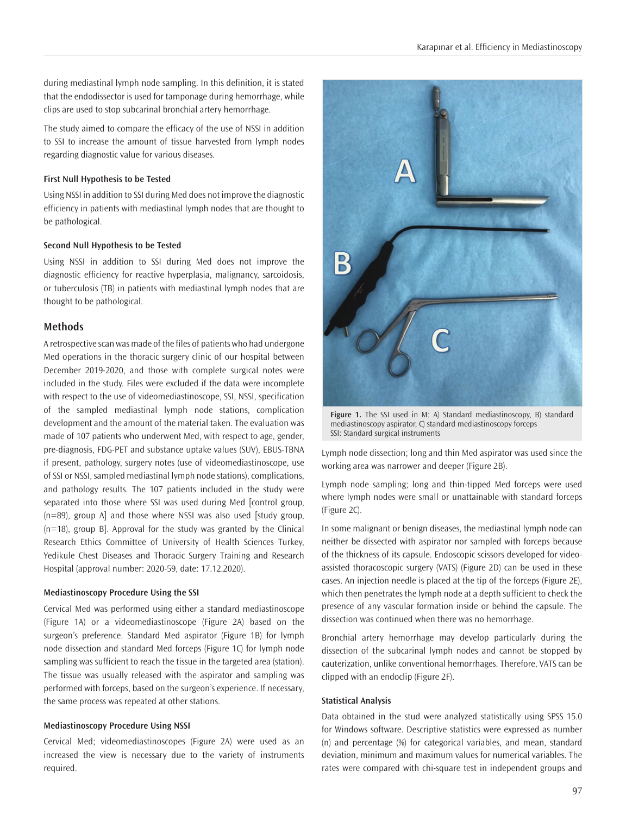during mediastinal lymph node sampling. In this definition, it is stated that the endodissector is used for tamponage during hemorrhage, while clips are used to stop subcarinal bronchial artery hemorrhage.

The study aimed to compare the efficacy of the use of NSSI in addition to SSI to increase the amount of tissue harvested from lymph nodes regarding diagnostic value for various diseases.

## **First Null Hypothesis to be Tested**

Using NSSI in addition to SSI during Med does not improve the diagnostic efficiency in patients with mediastinal lymph nodes that are thought to be pathological.

## **Second Null Hypothesis to be Tested**

Using NSSI in addition to SSI during Med does not improve the diagnostic efficiency for reactive hyperplasia, malignancy, sarcoidosis, or tuberculosis (TB) in patients with mediastinal lymph nodes that are thought to be pathological.

#### **Methods**

A retrospective scan was made of the files of patients who had undergone Med operations in the thoracic surgery clinic of our hospital between December 2019-2020, and those with complete surgical notes were included in the study. Files were excluded if the data were incomplete with respect to the use of videomediastinoscope, SSI, NSSI, specification of the sampled mediastinal lymph node stations, complication development and the amount of the material taken. The evaluation was made of 107 patients who underwent Med, with respect to age, gender, pre-diagnosis, FDG-PET and substance uptake values (SUV), EBUS-TBNA if present, pathology, surgery notes (use of videomediastinoscope, use of SSI or NSSI, sampled mediastinal lymph node stations), complications, and pathology results. The 107 patients included in the study were separated into those where SSI was used during Med [control group,  $(n=89)$ , group A] and those where NSSI was also used [study group, (n=18), group B]. Approval for the study was granted by the Clinical Research Ethics Committee of University of Health Sciences Turkey, Yedikule Chest Diseases and Thoracic Surgery Training and Research Hospital (approval number: 2020-59, date: 17.12.2020).

#### **Mediastinoscopy Procedure Using the SSI**

Cervical Med was performed using either a standard mediastinoscope (Figure 1A) or a videomediastinoscope (Figure 2A) based on the surgeon's preference. Standard Med aspirator (Figure 1B) for lymph node dissection and standard Med forceps (Figure 1C) for lymph node sampling was sufficient to reach the tissue in the targeted area (station). The tissue was usually released with the aspirator and sampling was performed with forceps, based on the surgeon's experience. If necessary, the same process was repeated at other stations.

## **Mediastinoscopy Procedure Using NSSI**

Cervical Med; videomediastinoscopes (Figure 2A) were used as an increased the view is necessary due to the variety of instruments required.



**Figure 1.** The SSI used in M: A) Standard mediastinoscopy, B) standard mediastinoscopy aspirator, C) standard mediastinoscopy forceps SSI: Standard surgical instruments

Lymph node dissection; long and thin Med aspirator was used since the working area was narrower and deeper (Figure 2B).

Lymph node sampling; long and thin-tipped Med forceps were used where lymph nodes were small or unattainable with standard forceps (Figure 2C).

In some malignant or benign diseases, the mediastinal lymph node can neither be dissected with aspirator nor sampled with forceps because of the thickness of its capsule. Endoscopic scissors developed for videoassisted thoracoscopic surgery (VATS) (Figure 2D) can be used in these cases. An injection needle is placed at the tip of the forceps (Figure 2E), which then penetrates the lymph node at a depth sufficient to check the presence of any vascular formation inside or behind the capsule. The dissection was continued when there was no hemorrhage.

Bronchial artery hemorrhage may develop particularly during the dissection of the subcarinal lymph nodes and cannot be stopped by cauterization, unlike conventional hemorrhages. Therefore, VATS can be clipped with an endoclip (Figure 2F).

#### **Statistical Analysis**

Data obtained in the stud were analyzed statistically using SPSS 15.0 for Windows software. Descriptive statistics were expressed as number (n) and percentage (%) for categorical variables, and mean, standard deviation, minimum and maximum values for numerical variables. The rates were compared with chi-square test in independent groups and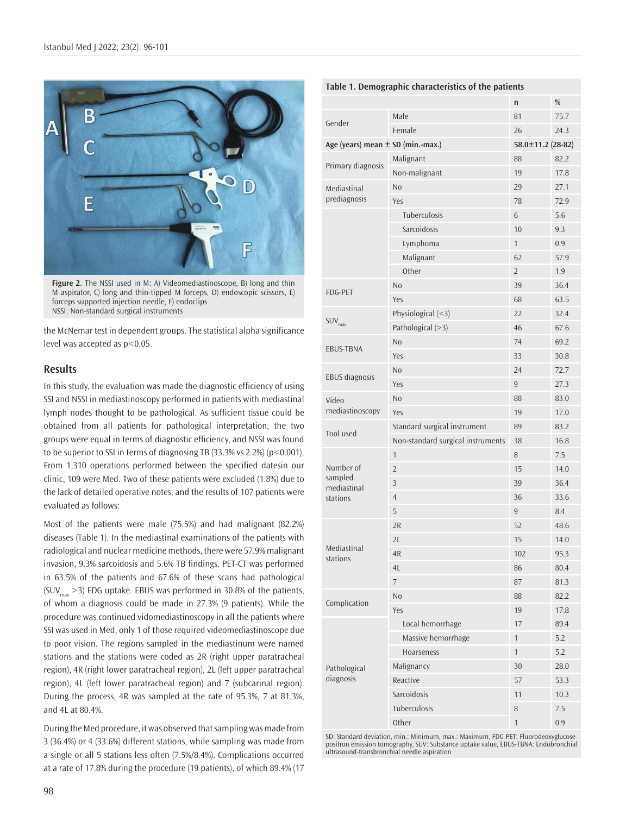

**Figure 2.** The NSSI used in M: A) Videomediastinoscope, B) long and thin M aspirator, C) long and thin-tipped M forceps, D) endoscopic scissors, E) forceps supported injection needle, F) endoclips NSSI: Non-standard surgical instruments

the McNemar test in dependent groups. The statistical alpha significance level was accepted as  $p<0.05$ .

# **Results**

In this study, the evaluation was made the diagnostic efficiency of using SSI and NSSI in mediastinoscopy performed in patients with mediastinal lymph nodes thought to be pathological. As sufficient tissue could be obtained from all patients for pathological interpretation, the two groups were equal in terms of diagnostic efficiency, and NSSI was found to be superior to SSI in terms of diagnosing TB (33.3% vs 2.2%) (p<0.001). From 1,310 operations performed between the specified datesin our clinic, 109 were Med. Two of these patients were excluded (1.8%) due to the lack of detailed operative notes, and the results of 107 patients were evaluated as follows:

Most of the patients were male (75.5%) and had malignant (82.2%) diseases (Table 1). In the mediastinal examinations of the patients with radiological and nuclear medicine methods, there were 57.9% malignant invasion, 9.3% sarcoidosis and 5.6% TB findings. PET-CT was performed in 63.5% of the patients and 67.6% of these scans had pathological  $(SUV_{\text{max}} > 3)$  FDG uptake. EBUS was performed in 30.8% of the patients, of whom a diagnosis could be made in 27.3% (9 patients). While the procedure was continued vidomediastinoscopy in all the patients where SSI was used in Med, only 1 of those required videomediastinoscope due to poor vision. The regions sampled in the mediastinum were named stations and the stations were coded as 2R (right upper paratracheal region), 4R (right lower paratracheal region), 2L (left upper paratracheal region), 4L (left lower paratracheal region) and 7 (subcarinal region). During the process, 4R was sampled at the rate of 95.3%, 7 at 81.3%, and 4L at 80.4%.

During the Med procedure, it was observed that sampling was made from 3 (36.4%) or 4 (33.6%) different stations, while sampling was made from a single or all 5 stations less often (7.5%/8.4%). Complications occurred at a rate of 17.8% during the procedure (19 patients), of which 89.4% (17

|                                                 |                                   | n            | $\%$ |
|-------------------------------------------------|-----------------------------------|--------------|------|
| Gender                                          | Male                              | 81           | 75.7 |
|                                                 | Female                            | 26           | 24.3 |
| Age (years) mean $\pm$ SD (min.-max.)           | 58.0±11.2 (28-82)                 |              |      |
| Primary diagnosis                               | Malignant                         | 88           | 82.2 |
|                                                 | Non-malignant                     | 19           | 17.8 |
| Mediastinal<br>prediagnosis                     | No                                | 29           | 27.1 |
|                                                 | Yes                               | 78           | 72.9 |
|                                                 | Tuberculosis                      | 6            | 5.6  |
|                                                 | Sarcoidosis                       | 10           | 9.3  |
|                                                 | Lymphoma                          | $\mathbf{1}$ | 0.9  |
|                                                 | Malignant                         | 62           | 57.9 |
|                                                 | Other                             | 2            | 1.9  |
| FDG-PET                                         | No                                | 39           | 36.4 |
|                                                 | Yes                               | 68           | 63.5 |
| SUV <sub>max</sub>                              | Physiological $(\leq 3)$          | 22           | 32.4 |
|                                                 | Pathological (>3)                 | 46           | 67.6 |
| EBUS-TBNA                                       | N <sub>o</sub>                    | 74           | 69.2 |
|                                                 | Yes                               | 33           | 30.8 |
|                                                 | No                                | 24           | 72.7 |
| <b>EBUS</b> diagnosis                           | Yes                               | 9            | 27.3 |
| Video<br>mediastinoscopy                        | N <sub>o</sub>                    | 88           | 83.0 |
|                                                 | Yes                               | 19           | 17.0 |
| Tool used                                       | Standard surgical instrument      | 89           | 83.2 |
|                                                 | Non-standard surgical instruments | 18           | 16.8 |
|                                                 | 1                                 | 8            | 7.5  |
| Number of<br>sampled<br>mediastinal<br>stations | $\overline{2}$                    | 15           | 14.0 |
|                                                 | 3                                 | 39           | 36.4 |
|                                                 | $\overline{4}$                    | 36           | 33.6 |
|                                                 | 5                                 | 9            | 8.4  |
| Mediastinal<br>stations                         | 2R                                | 52           | 48.6 |
|                                                 | 2L                                | 15           | 14.0 |
|                                                 | 4R                                | 102          | 95.3 |
|                                                 | 4L                                | 86           | 80.4 |
|                                                 | $\overline{\phantom{a}}$          | 87           | 81.3 |
| Complication                                    | N <sub>0</sub>                    | 88           | 82.2 |
|                                                 | Yes                               | 19           | 17.8 |
| Pathological<br>diagnosis                       | Local hemorrhage                  | 17           | 89.4 |
|                                                 | Massive hemorrhage                | 1            | 5.2  |
|                                                 | Hoarseness                        | 1            | 5.2  |
|                                                 | Malignancy                        | 30           | 28.0 |
|                                                 | Reactive                          | 57           | 53.3 |
|                                                 | Sarcoidosis                       | 11           | 10.3 |
|                                                 | Tuberculosis                      | 8            | 7.5  |
|                                                 | Other                             | 1            | 0.9  |

SD: Standard deviation, min.: Minimum, max.: Maximum, FDG-PET: Fluorodeoxyglucosepositron emission tomography, SUV: Substance uptake value, EBUS-TBNA: Endobronchial ultrasound-transbronchial needle aspiration

# **Table 1. Demographic characteristics of the patients**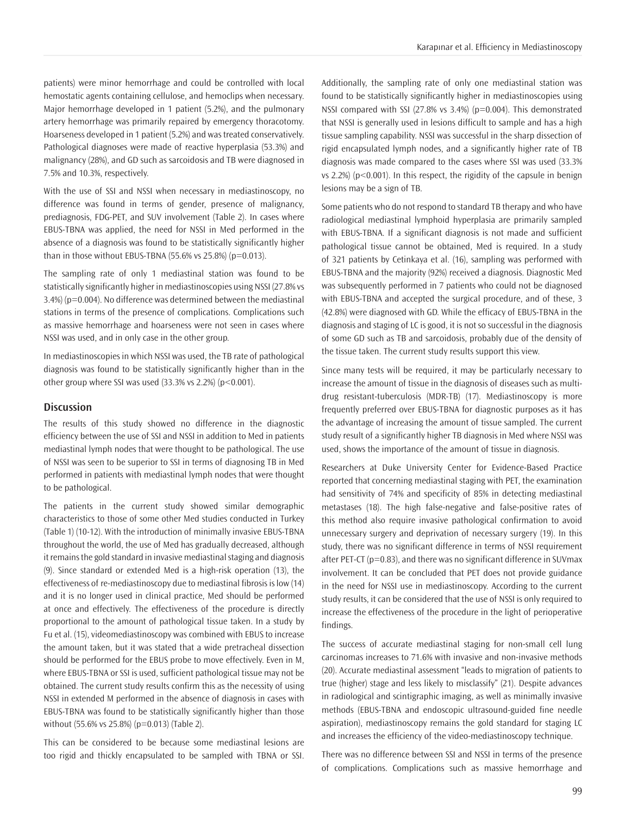patients) were minor hemorrhage and could be controlled with local hemostatic agents containing cellulose, and hemoclips when necessary. Major hemorrhage developed in 1 patient (5.2%), and the pulmonary artery hemorrhage was primarily repaired by emergency thoracotomy. Hoarseness developed in 1 patient (5.2%) and was treated conservatively. Pathological diagnoses were made of reactive hyperplasia (53.3%) and malignancy (28%), and GD such as sarcoidosis and TB were diagnosed in 7.5% and 10.3%, respectively.

With the use of SSI and NSSI when necessary in mediastinoscopy, no difference was found in terms of gender, presence of malignancy, prediagnosis, FDG-PET, and SUV involvement (Table 2). In cases where EBUS-TBNA was applied, the need for NSSI in Med performed in the absence of a diagnosis was found to be statistically significantly higher than in those without EBUS-TBNA (55.6% vs 25.8%) ( $p=0.013$ ).

The sampling rate of only 1 mediastinal station was found to be statistically significantly higher in mediastinoscopies using NSSI (27.8% vs 3.4%) (p=0.004). No difference was determined between the mediastinal stations in terms of the presence of complications. Complications such as massive hemorrhage and hoarseness were not seen in cases where NSSI was used, and in only case in the other group.

In mediastinoscopies in which NSSI was used, the TB rate of pathological diagnosis was found to be statistically significantly higher than in the other group where SSI was used  $(33.3\% \text{ vs } 2.2\%)$  (p<0.001).

#### **Discussion**

The results of this study showed no difference in the diagnostic efficiency between the use of SSI and NSSI in addition to Med in patients mediastinal lymph nodes that were thought to be pathological. The use of NSSI was seen to be superior to SSI in terms of diagnosing TB in Med performed in patients with mediastinal lymph nodes that were thought to be pathological.

The patients in the current study showed similar demographic characteristics to those of some other Med studies conducted in Turkey (Table 1) (10-12). With the introduction of minimally invasive EBUS-TBNA throughout the world, the use of Med has gradually decreased, although it remains the gold standard in invasive mediastinal staging and diagnosis (9). Since standard or extended Med is a high-risk operation (13), the effectiveness of re-mediastinoscopy due to mediastinal fibrosis is low (14) and it is no longer used in clinical practice, Med should be performed at once and effectively. The effectiveness of the procedure is directly proportional to the amount of pathological tissue taken. In a study by Fu et al. (15), videomediastinoscopy was combined with EBUS to increase the amount taken, but it was stated that a wide pretracheal dissection should be performed for the EBUS probe to move effectively. Even in M, where EBUS-TBNA or SSI is used, sufficient pathological tissue may not be obtained. The current study results confirm this as the necessity of using NSSI in extended M performed in the absence of diagnosis in cases with EBUS-TBNA was found to be statistically significantly higher than those without (55.6% vs 25.8%) (p=0.013) (Table 2).

This can be considered to be because some mediastinal lesions are too rigid and thickly encapsulated to be sampled with TBNA or SSI. Additionally, the sampling rate of only one mediastinal station was found to be statistically significantly higher in mediastinoscopies using NSSI compared with SSI (27.8% vs 3.4%) (p=0.004). This demonstrated that NSSI is generally used in lesions difficult to sample and has a high tissue sampling capability. NSSI was successful in the sharp dissection of rigid encapsulated lymph nodes, and a significantly higher rate of TB diagnosis was made compared to the cases where SSI was used (33.3% vs 2.2%) (p<0.001). In this respect, the rigidity of the capsule in benign lesions may be a sign of TB.

Some patients who do not respond to standard TB therapy and who have radiological mediastinal lymphoid hyperplasia are primarily sampled with EBUS-TBNA. If a significant diagnosis is not made and sufficient pathological tissue cannot be obtained, Med is required. In a study of 321 patients by Cetinkaya et al. (16), sampling was performed with EBUS-TBNA and the majority (92%) received a diagnosis. Diagnostic Med was subsequently performed in 7 patients who could not be diagnosed with EBUS-TBNA and accepted the surgical procedure, and of these, 3 (42.8%) were diagnosed with GD. While the efficacy of EBUS-TBNA in the diagnosis and staging of LC is good, it is not so successful in the diagnosis of some GD such as TB and sarcoidosis, probably due of the density of the tissue taken. The current study results support this view.

Since many tests will be required, it may be particularly necessary to increase the amount of tissue in the diagnosis of diseases such as multidrug resistant-tuberculosis (MDR-TB) (17). Mediastinoscopy is more frequently preferred over EBUS-TBNA for diagnostic purposes as it has the advantage of increasing the amount of tissue sampled. The current study result of a significantly higher TB diagnosis in Med where NSSI was used, shows the importance of the amount of tissue in diagnosis.

Researchers at Duke University Center for Evidence-Based Practice reported that concerning mediastinal staging with PET, the examination had sensitivity of 74% and specificity of 85% in detecting mediastinal metastases (18). The high false-negative and false-positive rates of this method also require invasive pathological confirmation to avoid unnecessary surgery and deprivation of necessary surgery (19). In this study, there was no significant difference in terms of NSSI requirement after PET-CT (p=0.83), and there was no significant difference in SUVmax involvement. It can be concluded that PET does not provide guidance in the need for NSSI use in mediastinoscopy. According to the current study results, it can be considered that the use of NSSI is only required to increase the effectiveness of the procedure in the light of perioperative findings.

The success of accurate mediastinal staging for non-small cell lung carcinomas increases to 71.6% with invasive and non-invasive methods (20). Accurate mediastinal assessment "leads to migration of patients to true (higher) stage and less likely to misclassify" (21). Despite advances in radiological and scintigraphic imaging, as well as minimally invasive methods (EBUS-TBNA and endoscopic ultrasound-guided fine needle aspiration), mediastinoscopy remains the gold standard for staging LC and increases the efficiency of the video-mediastinoscopy technique.

There was no difference between SSI and NSSI in terms of the presence of complications. Complications such as massive hemorrhage and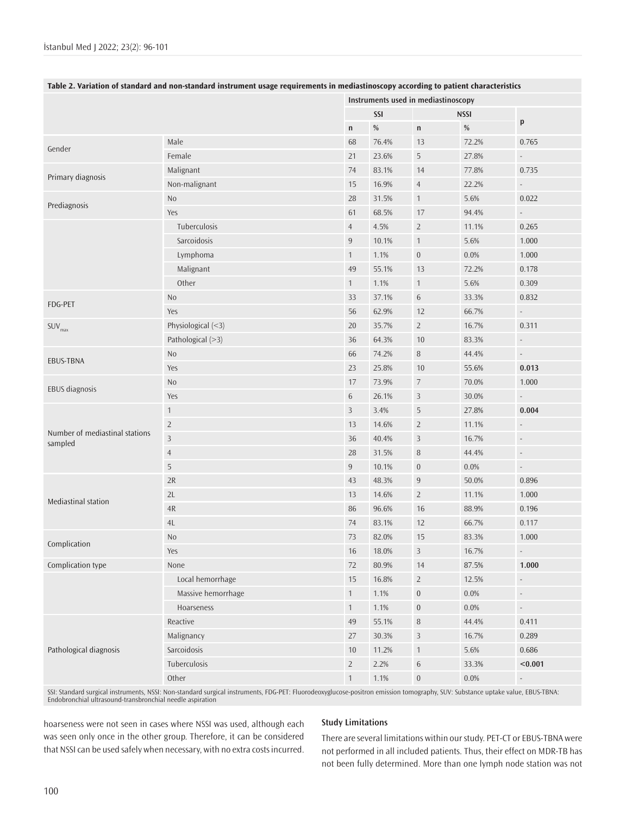|                                           |                    |                | Instruments used in mediastinoscopy |                  |             |                             |  |
|-------------------------------------------|--------------------|----------------|-------------------------------------|------------------|-------------|-----------------------------|--|
|                                           |                    |                | SSI                                 |                  | <b>NSSI</b> |                             |  |
|                                           |                    | $\mathsf{n}$   | $\%$                                | $\mathsf{n}$     | $\%$        | p                           |  |
| Gender                                    | Male               | 68             | 76.4%                               | 13               | 72.2%       | 0.765                       |  |
|                                           | Female             | 21             | 23.6%                               | 5                | 27.8%       | $\sim$                      |  |
| Primary diagnosis                         | Malignant          | 74             | 83.1%                               | 14               | 77.8%       | 0.735                       |  |
|                                           | Non-malignant      | 15             | 16.9%                               | $\overline{4}$   | 22.2%       | $\omega$                    |  |
| Prediagnosis                              | No                 | 28             | 31.5%                               | $\mathbf{1}$     | 5.6%        | 0.022                       |  |
|                                           | Yes                | 61             | 68.5%                               | 17               | 94.4%       | $\sim$                      |  |
|                                           | Tuberculosis       | $\overline{4}$ | 4.5%                                | $\overline{2}$   | 11.1%       | 0.265                       |  |
|                                           | Sarcoidosis        | $\,9$          | 10.1%                               | $\mathbf{1}$     | 5.6%        | 1.000                       |  |
|                                           | Lymphoma           | $\mathbf{1}$   | 1.1%                                | $\boldsymbol{0}$ | 0.0%        | 1.000                       |  |
|                                           | Malignant          | 49             | 55.1%                               | 13               | 72.2%       | 0.178                       |  |
|                                           | Other              | $\mathbf{1}$   | 1.1%                                | $\mathbf{1}$     | 5.6%        | 0.309                       |  |
| FDG-PET                                   | No                 | 33             | 37.1%                               | $\sqrt{6}$       | 33.3%       | 0.832                       |  |
|                                           | Yes                | 56             | 62.9%                               | 12               | 66.7%       | $\mathbb{Z}^{\times}$       |  |
| SUV <sub>max</sub>                        | Physiological (<3) | 20             | 35.7%                               | $\overline{2}$   | 16.7%       | 0.311                       |  |
|                                           | Pathological (>3)  | 36             | 64.3%                               | $10\,$           | 83.3%       | $\omega_{\rm c}$            |  |
| <b>EBUS-TBNA</b>                          | No                 | 66             | 74.2%                               | $\, 8$           | 44.4%       | $\sim$                      |  |
|                                           | Yes                | 23             | 25.8%                               | 10               | 55.6%       | 0.013                       |  |
| EBUS diagnosis                            | <b>No</b>          | 17             | 73.9%                               | $\overline{7}$   | 70.0%       | 1.000                       |  |
|                                           | Yes                | $\sqrt{6}$     | 26.1%                               | $\mathsf 3$      | 30.0%       | $\mathcal{L}_{\mathcal{A}}$ |  |
| Number of mediastinal stations<br>sampled | $\mathbf{1}$       | 3              | 3.4%                                | 5                | 27.8%       | 0.004                       |  |
|                                           | $\overline{2}$     | 13             | 14.6%                               | $\overline{2}$   | 11.1%       | $\overline{\phantom{a}}$    |  |
|                                           | $\overline{3}$     | 36             | 40.4%                               | $\overline{3}$   | 16.7%       | $\blacksquare$              |  |
|                                           | $\overline{4}$     | 28             | 31.5%                               | $\, 8$           | 44.4%       | $\overline{\phantom{a}}$    |  |
|                                           | $\mathsf S$        | 9              | 10.1%                               | $\boldsymbol{0}$ | $0.0\%$     | $\omega$                    |  |
| Mediastinal station                       | $2R$               | 43             | 48.3%                               | 9                | 50.0%       | 0.896                       |  |
|                                           | 2L                 | 13             | 14.6%                               | $\overline{2}$   | 11.1%       | 1.000                       |  |
|                                           | 4R                 | 86             | 96.6%                               | 16               | 88.9%       | 0.196                       |  |
|                                           | $4\mathsf{L}$      | 74             | 83.1%                               | 12               | 66.7%       | 0.117                       |  |
| Complication                              | No                 | 73             | 82.0%                               | 15               | 83.3%       | 1.000                       |  |
|                                           | Yes                | 16             | 18.0%                               | $\mathbf{3}$     | 16.7%       | $\mathbb{Z}^2$              |  |
| Complication type                         | None               | 72             | 80.9%                               | 14               | 87.5%       | 1.000                       |  |
|                                           | Local hemorrhage   | 15             | 16.8%                               | $\overline{2}$   | 12.5%       | $\overline{\phantom{a}}$    |  |
|                                           | Massive hemorrhage | $\mathbf{1}$   | 1.1%                                | $\bf{0}$         | 0.0%        | $\overline{\phantom{a}}$    |  |
|                                           | Hoarseness         | $\mathbf{1}$   | 1.1%                                | $\boldsymbol{0}$ | $0.0\%$     | $\omega$                    |  |
| Pathological diagnosis                    | Reactive           | 49             | 55.1%                               | $\, 8$           | 44.4%       | 0.411                       |  |
|                                           | Malignancy         | 27             | 30.3%                               | $\overline{3}$   | 16.7%       | 0.289                       |  |
|                                           | Sarcoidosis        | 10             | 11.2%                               | $\mathbf{1}$     | 5.6%        | 0.686                       |  |
|                                           | Tuberculosis       | $\sqrt{2}$     | 2.2%                                | $\sqrt{6}$       | 33.3%       | < 0.001                     |  |
|                                           | Other              | $\mathbf{1}$   | 1.1%                                | $\boldsymbol{0}$ | $0.0\%$     | $\Box$                      |  |

SSI: Standard surgical instruments, NSSI: Non-standard surgical instruments, FDG-PET: Fluorodeoxyglucose-positron emission tomography, SUV: Substance uptake value, EBUS-TBNA:<br>Endobronchial ultrasound-transbronchial needle

hoarseness were not seen in cases where NSSI was used, although each was seen only once in the other group. Therefore, it can be considered that NSSI can be used safely when necessary, with no extra costs incurred.

# **Study Limitations**

There are several limitations within our study. PET-CT or EBUS-TBNA were not performed in all included patients. Thus, their effect on MDR-TB has not been fully determined. More than one lymph node station was not